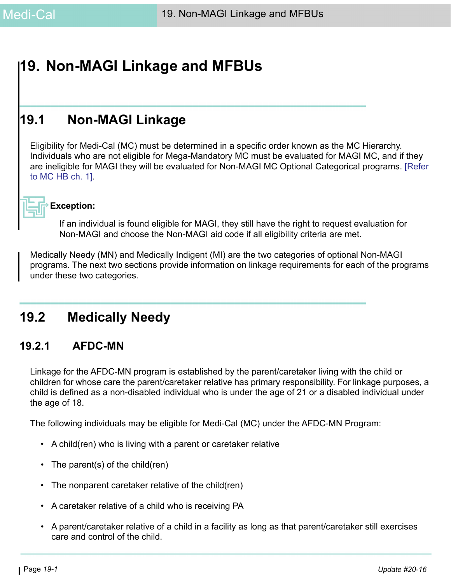# **19. Non-MAGI Linkage and MFBUs**

# **19.1 Non-MAGI Linkage**

Eligibility for Medi-Cal (MC) must be determined in a specific order known as the MC Hierarchy. Individuals who are not eligible for Mega-Mandatory MC must be evaluated for MAGI MC, and if they are ineligible for MAGI they will be evaluated for Non-MAGI MC Optional Categorical programs. [\[Refer](https://ssaconnect.sccgov.org/ssa_departments/debs_program/Documents/handbooks/medical/mcchap01.pdf)  [to MC HB ch. 1\].](https://ssaconnect.sccgov.org/ssa_departments/debs_program/Documents/handbooks/medical/mcchap01.pdf)



### **Exception:**

If an individual is found eligible for MAGI, they still have the right to request evaluation for Non-MAGI and choose the Non-MAGI aid code if all eligibility criteria are met.

Medically Needy (MN) and Medically Indigent (MI) are the two categories of optional Non-MAGI programs. The next two sections provide information on linkage requirements for each of the programs under these two categories.

# **19.2 Medically Needy**

# **19.2.1 AFDC-MN**

Linkage for the AFDC-MN program is established by the parent/caretaker living with the child or children for whose care the parent/caretaker relative has primary responsibility. For linkage purposes, a child is defined as a non-disabled individual who is under the age of 21 or a disabled individual under the age of 18.

The following individuals may be eligible for Medi-Cal (MC) under the AFDC-MN Program:

- A child(ren) who is living with a parent or caretaker relative
- The parent(s) of the child(ren)
- The nonparent caretaker relative of the child(ren)
- A caretaker relative of a child who is receiving PA
- A parent/caretaker relative of a child in a facility as long as that parent/caretaker still exercises care and control of the child.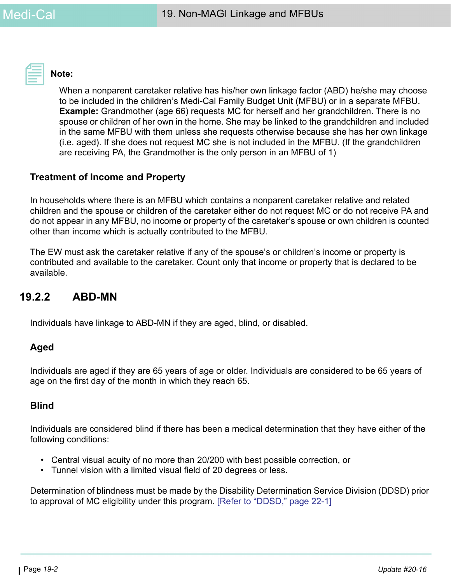

# **Note:**

When a nonparent caretaker relative has his/her own linkage factor (ABD) he/she may choose to be included in the children's Medi-Cal Family Budget Unit (MFBU) or in a separate MFBU. **Example:** Grandmother (age 66) requests MC for herself and her grandchildren. There is no spouse or children of her own in the home. She may be linked to the grandchildren and included in the same MFBU with them unless she requests otherwise because she has her own linkage (i.e. aged). If she does not request MC she is not included in the MFBU. (If the grandchildren are receiving PA, the Grandmother is the only person in an MFBU of 1)

# **Treatment of Income and Property**

In households where there is an MFBU which contains a nonparent caretaker relative and related children and the spouse or children of the caretaker either do not request MC or do not receive PA and do not appear in any MFBU, no income or property of the caretaker's spouse or own children is counted other than income which is actually contributed to the MFBU.

The EW must ask the caretaker relative if any of the spouse's or children's income or property is contributed and available to the caretaker. Count only that income or property that is declared to be available.

# **19.2.2 ABD-MN**

Individuals have linkage to ABD-MN if they are aged, blind, or disabled.

### **Aged**

Individuals are aged if they are 65 years of age or older. Individuals are considered to be 65 years of age on the first day of the month in which they reach 65.

### **Blind**

Individuals are considered blind if there has been a medical determination that they have either of the following conditions:

- Central visual acuity of no more than 20/200 with best possible correction, or
- Tunnel vision with a limited visual field of 20 degrees or less.

Determination of blindness must be made by the Disability Determination Service Division (DDSD) prior to approval of MC eligibility under this program. [Refer to "DDSD," page 22-1]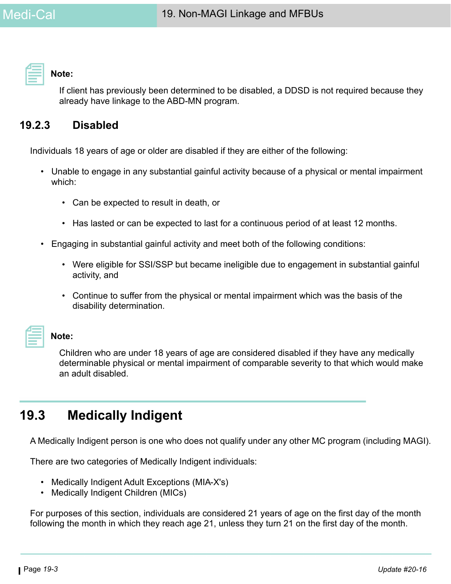**Note:** 

If client has previously been determined to be disabled, a DDSD is not required because they already have linkage to the ABD-MN program.

# **19.2.3 Disabled**

Individuals 18 years of age or older are disabled if they are either of the following:

- Unable to engage in any substantial gainful activity because of a physical or mental impairment which:
	- Can be expected to result in death, or
	- Has lasted or can be expected to last for a continuous period of at least 12 months.
- Engaging in substantial gainful activity and meet both of the following conditions:
	- Were eligible for SSI/SSP but became ineligible due to engagement in substantial gainful activity, and
	- Continue to suffer from the physical or mental impairment which was the basis of the disability determination.

### **Note:**

Children who are under 18 years of age are considered disabled if they have any medically determinable physical or mental impairment of comparable severity to that which would make an adult disabled.

# **19.3 Medically Indigent**

A Medically Indigent person is one who does not qualify under any other MC program (including MAGI).

There are two categories of Medically Indigent individuals:

- Medically Indigent Adult Exceptions (MIA-X's)
- Medically Indigent Children (MICs)

For purposes of this section, individuals are considered 21 years of age on the first day of the month following the month in which they reach age 21, unless they turn 21 on the first day of the month.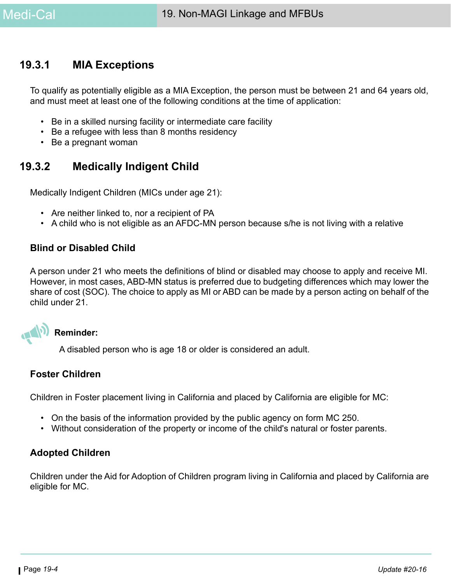# **19.3.1 MIA Exceptions**

To qualify as potentially eligible as a MIA Exception, the person must be between 21 and 64 years old, and must meet at least one of the following conditions at the time of application:

- Be in a skilled nursing facility or intermediate care facility
- Be a refugee with less than 8 months residency
- Be a pregnant woman

# **19.3.2 Medically Indigent Child**

Medically Indigent Children (MICs under age 21):

- Are neither linked to, nor a recipient of PA
- A child who is not eligible as an AFDC-MN person because s/he is not living with a relative

# **Blind or Disabled Child**

A person under 21 who meets the definitions of blind or disabled may choose to apply and receive MI. However, in most cases, ABD-MN status is preferred due to budgeting differences which may lower the share of cost (SOC). The choice to apply as MI or ABD can be made by a person acting on behalf of the child under 21.

# **Reminder:**

A disabled person who is age 18 or older is considered an adult.

# **Foster Children**

Children in Foster placement living in California and placed by California are eligible for MC:

- On the basis of the information provided by the public agency on form MC 250.
- Without consideration of the property or income of the child's natural or foster parents.

# **Adopted Children**

Children under the Aid for Adoption of Children program living in California and placed by California are eligible for MC.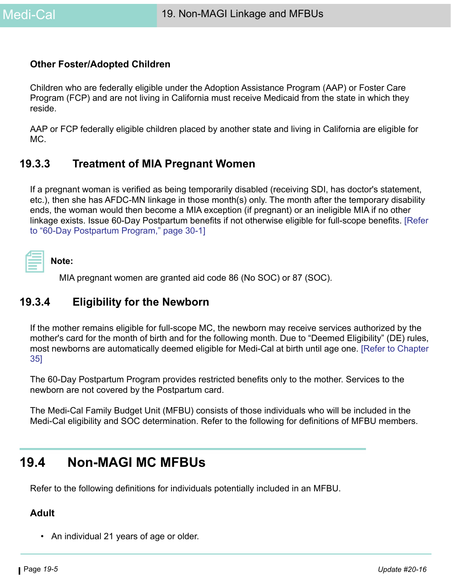# **Other Foster/Adopted Children**

Children who are federally eligible under the Adoption Assistance Program (AAP) or Foster Care Program (FCP) and are not living in California must receive Medicaid from the state in which they reside.

AAP or FCP federally eligible children placed by another state and living in California are eligible for MC.

# **19.3.3 Treatment of MIA Pregnant Women**

If a pregnant woman is verified as being temporarily disabled (receiving SDI, has doctor's statement, etc.), then she has AFDC-MN linkage in those month(s) only. The month after the temporary disability ends, the woman would then become a MIA exception (if pregnant) or an ineligible MIA if no other linkage exists. Issue 60-Day Postpartum benefits if not otherwise eligible for full-scope benefits. [Refer to "60-Day Postpartum Program," page 30-1]

| Note: |
|-------|
|-------|

MIA pregnant women are granted aid code 86 (No SOC) or 87 (SOC).

# **19.3.4 Eligibility for the Newborn**

If the mother remains eligible for full-scope MC, the newborn may receive services authorized by the mother's card for the month of birth and for the following month. Due to "Deemed Eligibility" (DE) rules, most newborns are automatically deemed eligible for Medi-Cal at birth until age one. [Refer to Chapter 35]

The 60-Day Postpartum Program provides restricted benefits only to the mother. Services to the newborn are not covered by the Postpartum card.

The Medi-Cal Family Budget Unit (MFBU) consists of those individuals who will be included in the Medi-Cal eligibility and SOC determination. Refer to the following for definitions of MFBU members.

# **19.4 Non-MAGI MC MFBUs**

Refer to the following definitions for individuals potentially included in an MFBU.

### **Adult**

• An individual 21 years of age or older.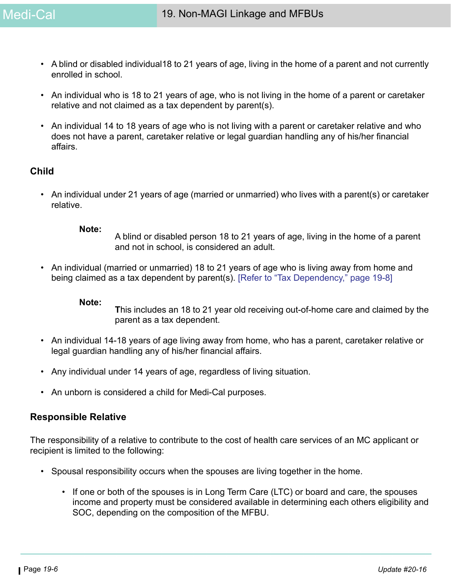- A blind or disabled individual18 to 21 years of age, living in the home of a parent and not currently enrolled in school.
- An individual who is 18 to 21 years of age, who is not living in the home of a parent or caretaker relative and not claimed as a tax dependent by parent(s).
- An individual 14 to 18 years of age who is not living with a parent or caretaker relative and who does not have a parent, caretaker relative or legal guardian handling any of his/her financial affairs.

# **Child**

• An individual under 21 years of age (married or unmarried) who lives with a parent(s) or caretaker relative.

#### **Note:**

A blind or disabled person 18 to 21 years of age, living in the home of a parent and not in school, is considered an adult.

• An individual (married or unmarried) 18 to 21 years of age who is living away from home and being claimed as a tax dependent by parent(s). [\[Refer to "Tax Dependency," page 19-8\]](#page-7-0)

#### **Note:**

**T**his includes an 18 to 21 year old receiving out-of-home care and claimed by the parent as a tax dependent.

- An individual 14-18 years of age living away from home, who has a parent, caretaker relative or legal guardian handling any of his/her financial affairs.
- Any individual under 14 years of age, regardless of living situation.
- An unborn is considered a child for Medi-Cal purposes.

# **Responsible Relative**

The responsibility of a relative to contribute to the cost of health care services of an MC applicant or recipient is limited to the following:

- Spousal responsibility occurs when the spouses are living together in the home.
	- If one or both of the spouses is in Long Term Care (LTC) or board and care, the spouses income and property must be considered available in determining each others eligibility and SOC, depending on the composition of the MFBU.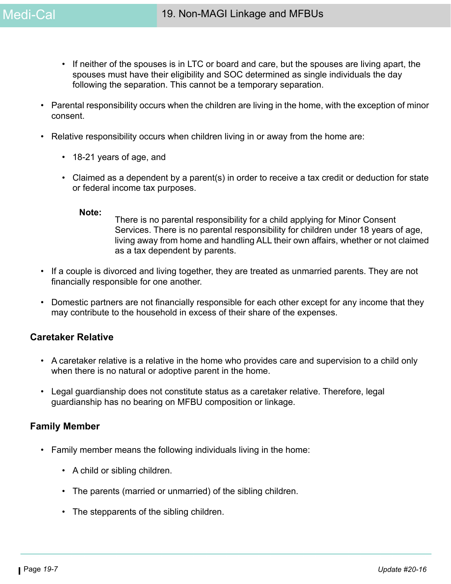- If neither of the spouses is in LTC or board and care, but the spouses are living apart, the spouses must have their eligibility and SOC determined as single individuals the day following the separation. This cannot be a temporary separation.
- Parental responsibility occurs when the children are living in the home, with the exception of minor consent.
- Relative responsibility occurs when children living in or away from the home are:
	- 18-21 years of age, and
	- Claimed as a dependent by a parent(s) in order to receive a tax credit or deduction for state or federal income tax purposes.

#### **Note:**

There is no parental responsibility for a child applying for Minor Consent Services. There is no parental responsibility for children under 18 years of age, living away from home and handling ALL their own affairs, whether or not claimed as a tax dependent by parents.

- If a couple is divorced and living together, they are treated as unmarried parents. They are not financially responsible for one another.
- Domestic partners are not financially responsible for each other except for any income that they may contribute to the household in excess of their share of the expenses.

# **Caretaker Relative**

- A caretaker relative is a relative in the home who provides care and supervision to a child only when there is no natural or adoptive parent in the home.
- Legal guardianship does not constitute status as a caretaker relative. Therefore, legal guardianship has no bearing on MFBU composition or linkage.

### **Family Member**

- Family member means the following individuals living in the home:
	- A child or sibling children.
	- The parents (married or unmarried) of the sibling children.
	- The stepparents of the sibling children.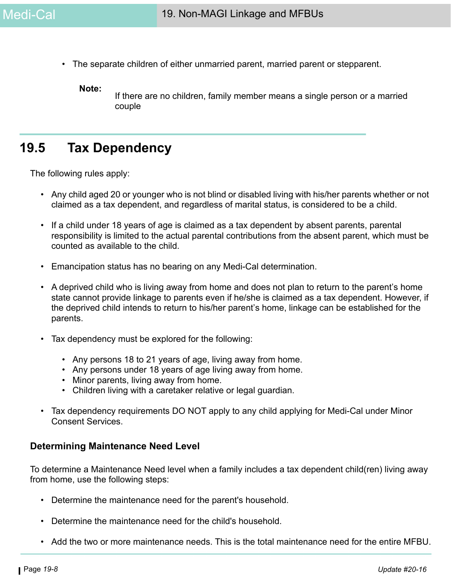• The separate children of either unmarried parent, married parent or stepparent.

**Note:**

If there are no children, family member means a single person or a married couple

# <span id="page-7-0"></span>**19.5 Tax Dependency**

The following rules apply:

- Any child aged 20 or younger who is not blind or disabled living with his/her parents whether or not claimed as a tax dependent, and regardless of marital status, is considered to be a child.
- If a child under 18 years of age is claimed as a tax dependent by absent parents, parental responsibility is limited to the actual parental contributions from the absent parent, which must be counted as available to the child.
- Emancipation status has no bearing on any Medi-Cal determination.
- A deprived child who is living away from home and does not plan to return to the parent's home state cannot provide linkage to parents even if he/she is claimed as a tax dependent. However, if the deprived child intends to return to his/her parent's home, linkage can be established for the parents.
- Tax dependency must be explored for the following:
	- Any persons 18 to 21 years of age, living away from home.
	- Any persons under 18 years of age living away from home.
	- Minor parents, living away from home.
	- Children living with a caretaker relative or legal guardian.
- Tax dependency requirements DO NOT apply to any child applying for Medi-Cal under Minor Consent Services.

#### **Determining Maintenance Need Level**

To determine a Maintenance Need level when a family includes a tax dependent child(ren) living away from home, use the following steps:

- Determine the maintenance need for the parent's household.
- Determine the maintenance need for the child's household.
- Add the two or more maintenance needs. This is the total maintenance need for the entire MFBU.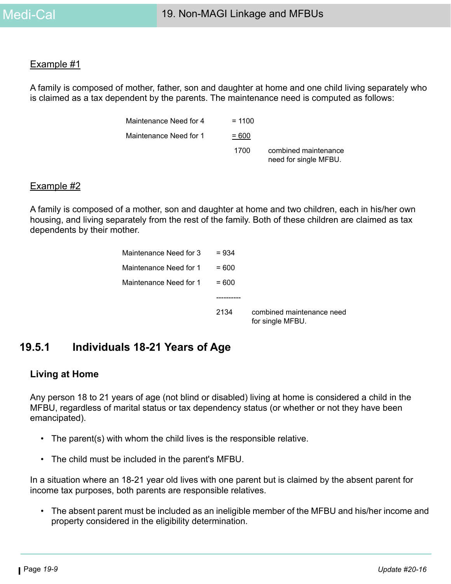#### Example #1

A family is composed of mother, father, son and daughter at home and one child living separately who is claimed as a tax dependent by the parents. The maintenance need is computed as follows:

| Maintenance Need for 4 | $= 1100$ |                                               |
|------------------------|----------|-----------------------------------------------|
| Maintenance Need for 1 | $= 600$  |                                               |
|                        | 1700     | combined maintenance<br>need for single MFBU. |

#### Example #2

A family is composed of a mother, son and daughter at home and two children, each in his/her own housing, and living separately from the rest of the family. Both of these children are claimed as tax dependents by their mother.

| Maintenance Need for 3 | $= 934$ |                                               |
|------------------------|---------|-----------------------------------------------|
| Maintenance Need for 1 | $= 600$ |                                               |
| Maintenance Need for 1 | $=600$  |                                               |
|                        |         |                                               |
|                        | 2134    | combined maintenance need<br>for single MFBU. |

# **19.5.1 Individuals 18-21 Years of Age**

### **Living at Home**

Any person 18 to 21 years of age (not blind or disabled) living at home is considered a child in the MFBU, regardless of marital status or tax dependency status (or whether or not they have been emancipated).

- The parent(s) with whom the child lives is the responsible relative.
- The child must be included in the parent's MFBU.

In a situation where an 18-21 year old lives with one parent but is claimed by the absent parent for income tax purposes, both parents are responsible relatives.

• The absent parent must be included as an ineligible member of the MFBU and his/her income and property considered in the eligibility determination.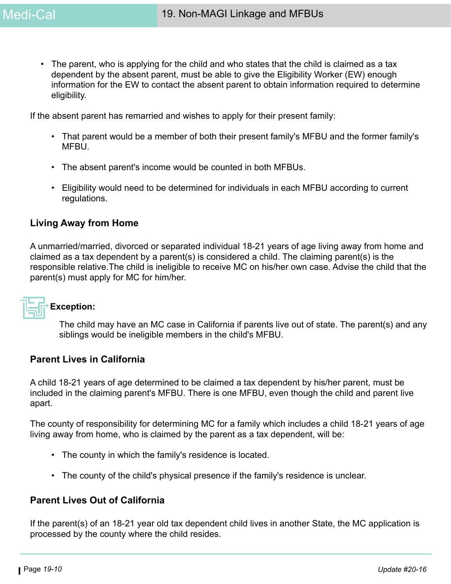• The parent, who is applying for the child and who states that the child is claimed as a tax dependent by the absent parent, must be able to give the Eligibility Worker (EW) enough information for the EW to contact the absent parent to obtain information required to determine eligibility.

If the absent parent has remarried and wishes to apply for their present family:

- That parent would be a member of both their present family's MFBU and the former family's MFBU.
- The absent parent's income would be counted in both MFBUs.
- Eligibility would need to be determined for individuals in each MFBU according to current regulations.

## **Living Away from Home**

A unmarried/married, divorced or separated individual 18-21 years of age living away from home and claimed as a tax dependent by a parent(s) is considered a child. The claiming parent(s) is the responsible relative.The child is ineligible to receive MC on his/her own case. Advise the child that the parent(s) must apply for MC for him/her.

# **Exception:**

The child may have an MC case in California if parents live out of state. The parent(s) and any siblings would be ineligible members in the child's MFBU.

## **Parent Lives in California**

A child 18-21 years of age determined to be claimed a tax dependent by his/her parent, must be included in the claiming parent's MFBU. There is one MFBU, even though the child and parent live apart.

The county of responsibility for determining MC for a family which includes a child 18-21 years of age living away from home, who is claimed by the parent as a tax dependent, will be:

- The county in which the family's residence is located.
- The county of the child's physical presence if the family's residence is unclear.

# **Parent Lives Out of California**

If the parent(s) of an 18-21 year old tax dependent child lives in another State, the MC application is processed by the county where the child resides.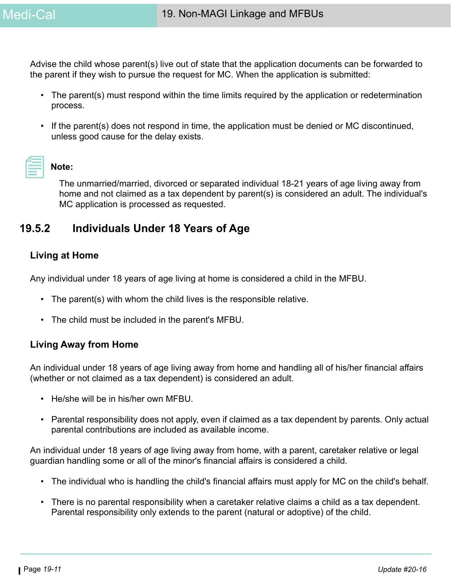Advise the child whose parent(s) live out of state that the application documents can be forwarded to the parent if they wish to pursue the request for MC. When the application is submitted:

- The parent(s) must respond within the time limits required by the application or redetermination process.
- If the parent(s) does not respond in time, the application must be denied or MC discontinued, unless good cause for the delay exists.

# **Note:**

The unmarried/married, divorced or separated individual 18-21 years of age living away from home and not claimed as a tax dependent by parent(s) is considered an adult. The individual's MC application is processed as requested.

# **19.5.2 Individuals Under 18 Years of Age**

# **Living at Home**

Any individual under 18 years of age living at home is considered a child in the MFBU.

- The parent(s) with whom the child lives is the responsible relative.
- The child must be included in the parent's MFBU.

# **Living Away from Home**

An individual under 18 years of age living away from home and handling all of his/her financial affairs (whether or not claimed as a tax dependent) is considered an adult.

- He/she will be in his/her own MFBU.
- Parental responsibility does not apply, even if claimed as a tax dependent by parents. Only actual parental contributions are included as available income.

An individual under 18 years of age living away from home, with a parent, caretaker relative or legal guardian handling some or all of the minor's financial affairs is considered a child.

- The individual who is handling the child's financial affairs must apply for MC on the child's behalf.
- There is no parental responsibility when a caretaker relative claims a child as a tax dependent. Parental responsibility only extends to the parent (natural or adoptive) of the child.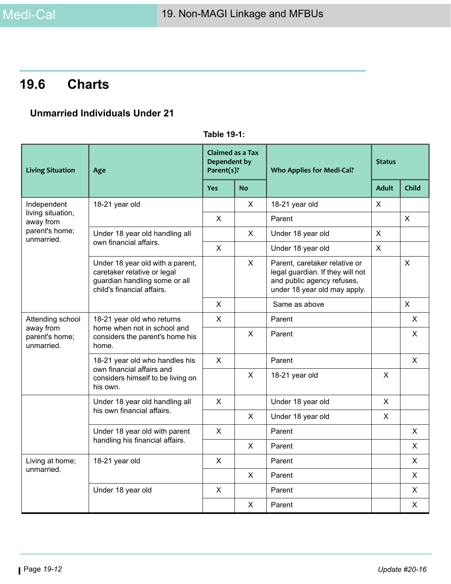# **19.6 Charts**

# **Unmarried Individuals Under 21**

| <b>Living Situation</b>                   | Age                                                                                                                            | <b>Claimed as a Tax</b><br><b>Dependent by</b><br>Parent(s)? |              | <b>Who Applies for Medi-Cal?</b>                                                                                                | <b>Status</b>  |                           |
|-------------------------------------------|--------------------------------------------------------------------------------------------------------------------------------|--------------------------------------------------------------|--------------|---------------------------------------------------------------------------------------------------------------------------------|----------------|---------------------------|
|                                           |                                                                                                                                | <b>Yes</b>                                                   | <b>No</b>    |                                                                                                                                 | <b>Adult</b>   | Child                     |
| Independent                               | 18-21 year old                                                                                                                 |                                                              | $\mathsf{X}$ | 18-21 year old                                                                                                                  | $\pmb{\times}$ |                           |
| living situation,<br>away from            |                                                                                                                                | $\sf X$                                                      |              | Parent                                                                                                                          |                | $\sf X$                   |
| parent's home;<br>unmarried.              | Under 18 year old handling all<br>own financial affairs.                                                                       |                                                              | X            | Under 18 year old                                                                                                               | X              |                           |
|                                           |                                                                                                                                | X                                                            |              | Under 18 year old                                                                                                               | X              |                           |
|                                           | Under 18 year old with a parent,<br>caretaker relative or legal<br>guardian handling some or all<br>child's financial affairs. |                                                              | X            | Parent, caretaker relative or<br>legal guardian. If they will not<br>and public agency refuses,<br>under 18 year old may apply. |                | $\boldsymbol{\mathsf{X}}$ |
|                                           |                                                                                                                                | $\mathsf{X}$                                                 |              | Same as above                                                                                                                   |                | $\mathsf{X}$              |
| Attending school                          | 18-21 year old who returns                                                                                                     |                                                              |              | Parent                                                                                                                          |                | X                         |
| away from<br>parent's home;<br>unmarried. | home when not in school and<br>considers the parent's home his<br>home.                                                        |                                                              | $\sf X$      | Parent                                                                                                                          |                | $\mathsf{X}$              |
|                                           | 18-21 year old who handles his                                                                                                 | $\sf X$                                                      |              | Parent                                                                                                                          |                | $\mathsf{X}$              |
|                                           | own financial affairs and<br>considers himself to be living on<br>his own.                                                     |                                                              | X            | 18-21 year old                                                                                                                  | X              |                           |
|                                           | Under 18 year old handling all                                                                                                 | X                                                            |              | Under 18 year old                                                                                                               | $\pmb{\times}$ |                           |
|                                           | his own financial affairs.                                                                                                     |                                                              | X            | Under 18 year old                                                                                                               | X              |                           |
|                                           | Under 18 year old with parent<br>handling his financial affairs.                                                               |                                                              |              | Parent                                                                                                                          |                | X                         |
|                                           |                                                                                                                                |                                                              | X.           | Parent                                                                                                                          |                | X                         |
| Living at home;                           | 18-21 year old                                                                                                                 | X.                                                           |              | Parent                                                                                                                          |                | X                         |
| unmarried.                                |                                                                                                                                |                                                              | X            | Parent                                                                                                                          |                | X                         |
|                                           | Under 18 year old                                                                                                              | X                                                            |              | Parent                                                                                                                          |                | X                         |
|                                           |                                                                                                                                |                                                              | X            | Parent                                                                                                                          |                | X                         |

**Table 19-1:**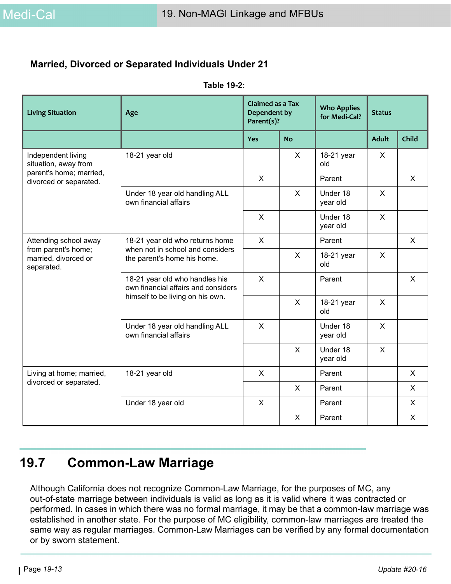# **Married, Divorced or Separated Individuals Under 21**

| <b>Living Situation</b>                                   | Age                                                                   | <b>Claimed as a Tax</b><br>Dependent by<br>Parent(s)? |              | <b>Who Applies</b><br><b>Status</b><br>for Medi-Cal? |              |              |
|-----------------------------------------------------------|-----------------------------------------------------------------------|-------------------------------------------------------|--------------|------------------------------------------------------|--------------|--------------|
|                                                           |                                                                       | <b>Yes</b>                                            | <b>No</b>    |                                                      | <b>Adult</b> | Child        |
| Independent living<br>situation, away from                | 18-21 year old                                                        |                                                       | X            | 18-21 year<br>old                                    | X            |              |
| parent's home; married,<br>divorced or separated.         |                                                                       | $\sf X$                                               |              | Parent                                               |              | $\mathsf{X}$ |
|                                                           | Under 18 year old handling ALL<br>own financial affairs               |                                                       | $\mathsf{X}$ | Under 18<br>year old                                 | X            |              |
|                                                           |                                                                       | X                                                     |              | Under 18<br>year old                                 | X            |              |
| Attending school away                                     | 18-21 year old who returns home                                       |                                                       |              | Parent                                               |              | $\mathsf{X}$ |
| from parent's home;<br>married, divorced or<br>separated. | when not in school and considers<br>the parent's home his home.       |                                                       | $\sf X$      | 18-21 year<br>old                                    | X            |              |
|                                                           | 18-21 year old who handles his<br>own financial affairs and considers | $\sf X$                                               |              | Parent                                               |              | $\mathsf{X}$ |
|                                                           | himself to be living on his own.                                      |                                                       | X            | 18-21 year<br>old                                    | $\mathsf{X}$ |              |
|                                                           | Under 18 year old handling ALL<br>own financial affairs               | $\sf X$                                               |              | Under 18<br>year old                                 | X            |              |
|                                                           |                                                                       |                                                       | $\mathsf{X}$ | Under 18<br>year old                                 | $\mathsf{X}$ |              |
| Living at home; married,                                  | 18-21 year old                                                        | $\times$                                              |              | Parent                                               |              | $\mathsf{X}$ |
| divorced or separated.                                    |                                                                       |                                                       | X            | Parent                                               |              | $\mathsf{X}$ |
|                                                           | Under 18 year old                                                     | $\sf X$                                               |              | Parent                                               |              | $\mathsf{X}$ |
|                                                           |                                                                       |                                                       | X            | Parent                                               |              | X            |

#### **Table 19-2:**

# **19.7 Common-Law Marriage**

Although California does not recognize Common-Law Marriage, for the purposes of MC, any out-of-state marriage between individuals is valid as long as it is valid where it was contracted or performed. In cases in which there was no formal marriage, it may be that a common-law marriage was established in another state. For the purpose of MC eligibility, common-law marriages are treated the same way as regular marriages. Common-Law Marriages can be verified by any formal documentation or by sworn statement.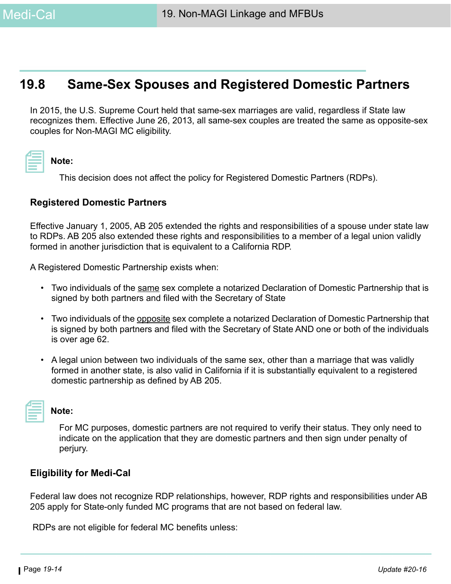# **19.8 Same-Sex Spouses and Registered Domestic Partners**

In 2015, the U.S. Supreme Court held that same-sex marriages are valid, regardless if State law recognizes them. Effective June 26, 2013, all same-sex couples are treated the same as opposite-sex couples for Non-MAGI MC eligibility.

|--|

**Note:** 

This decision does not affect the policy for Registered Domestic Partners (RDPs).

## **Registered Domestic Partners**

Effective January 1, 2005, AB 205 extended the rights and responsibilities of a spouse under state law to RDPs. AB 205 also extended these rights and responsibilities to a member of a legal union validly formed in another jurisdiction that is equivalent to a California RDP.

A Registered Domestic Partnership exists when:

- Two individuals of the same sex complete a notarized Declaration of Domestic Partnership that is signed by both partners and filed with the Secretary of State
- Two individuals of the opposite sex complete a notarized Declaration of Domestic Partnership that is signed by both partners and filed with the Secretary of State AND one or both of the individuals is over age 62.
- A legal union between two individuals of the same sex, other than a marriage that was validly formed in another state, is also valid in California if it is substantially equivalent to a registered domestic partnership as defined by AB 205.

| <b>Contract Contract Contract Contract Contract Contract Contract Contract Contract Contract Contract Contract Co</b> |  |
|-----------------------------------------------------------------------------------------------------------------------|--|
|                                                                                                                       |  |
|                                                                                                                       |  |
|                                                                                                                       |  |
|                                                                                                                       |  |
|                                                                                                                       |  |
|                                                                                                                       |  |
|                                                                                                                       |  |
|                                                                                                                       |  |

#### **Note:**

For MC purposes, domestic partners are not required to verify their status. They only need to indicate on the application that they are domestic partners and then sign under penalty of perjury.

# **Eligibility for Medi-Cal**

Federal law does not recognize RDP relationships, however, RDP rights and responsibilities under AB 205 apply for State-only funded MC programs that are not based on federal law.

RDPs are not eligible for federal MC benefits unless: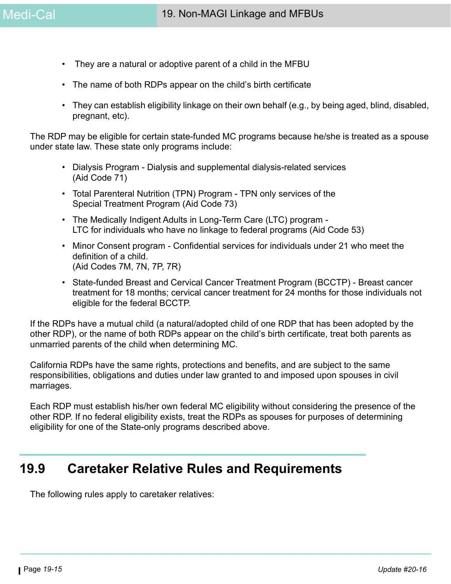- They are a natural or adoptive parent of a child in the MFBU
- The name of both RDPs appear on the child's birth certificate
- They can establish eligibility linkage on their own behalf (e.g., by being aged, blind, disabled, pregnant, etc).

The RDP may be eligible for certain state-funded MC programs because he/she is treated as a spouse under state law. These state only programs include:

- Dialysis Program Dialysis and supplemental dialysis-related services (Aid Code 71)
- Total Parenteral Nutrition (TPN) Program TPN only services of the Special Treatment Program (Aid Code 73)
- The Medically Indigent Adults in Long-Term Care (LTC) program LTC for individuals who have no linkage to federal programs (Aid Code 53)
- Minor Consent program Confidential services for individuals under 21 who meet the definition of a child. (Aid Codes 7M, 7N, 7P, 7R)
- State-funded Breast and Cervical Cancer Treatment Program (BCCTP) Breast cancer treatment for 18 months; cervical cancer treatment for 24 months for those individuals not eligible for the federal BCCTP.

If the RDPs have a mutual child (a natural/adopted child of one RDP that has been adopted by the other RDP), or the name of both RDPs appear on the child's birth certificate, treat both parents as unmarried parents of the child when determining MC.

California RDPs have the same rights, protections and benefits, and are subject to the same responsibilities, obligations and duties under law granted to and imposed upon spouses in civil marriages.

Each RDP must establish his/her own federal MC eligibility without considering the presence of the other RDP. If no federal eligibility exists, treat the RDPs as spouses for purposes of determining eligibility for one of the State-only programs described above.

# **19.9 Caretaker Relative Rules and Requirements**

The following rules apply to caretaker relatives: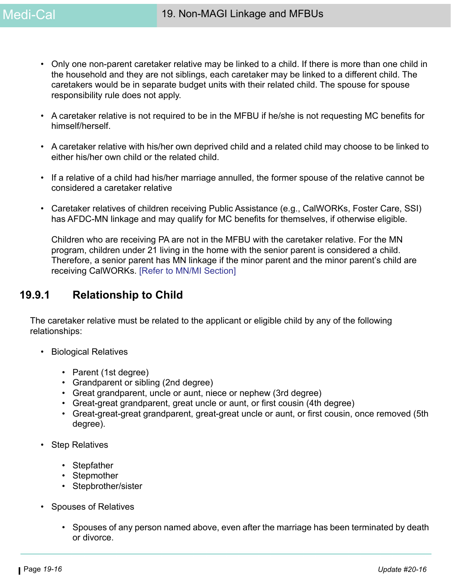- Only one non-parent caretaker relative may be linked to a child. If there is more than one child in the household and they are not siblings, each caretaker may be linked to a different child. The caretakers would be in separate budget units with their related child. The spouse for spouse responsibility rule does not apply.
- A caretaker relative is not required to be in the MFBU if he/she is not requesting MC benefits for himself/herself.
- A caretaker relative with his/her own deprived child and a related child may choose to be linked to either his/her own child or the related child.
- If a relative of a child had his/her marriage annulled, the former spouse of the relative cannot be considered a caretaker relative
- Caretaker relatives of children receiving Public Assistance (e.g., CalWORKs, Foster Care, SSI) has AFDC-MN linkage and may qualify for MC benefits for themselves, if otherwise eligible.

Children who are receiving PA are not in the MFBU with the caretaker relative. For the MN program, children under 21 living in the home with the senior parent is considered a child. Therefore, a senior parent has MN linkage if the minor parent and the minor parent's child are receiving CalWORKs. [Refer to MN/MI Section]

# **19.9.1 Relationship to Child**

The caretaker relative must be related to the applicant or eligible child by any of the following relationships:

- Biological Relatives
	- Parent (1st degree)
	- Grandparent or sibling (2nd degree)
	- Great grandparent, uncle or aunt, niece or nephew (3rd degree)
	- Great-great grandparent, great uncle or aunt, or first cousin (4th degree)
	- Great-great-great grandparent, great-great uncle or aunt, or first cousin, once removed (5th degree).
- Step Relatives
	- Stepfather
	- Stepmother
	- Stepbrother/sister
- Spouses of Relatives
	- Spouses of any person named above, even after the marriage has been terminated by death or divorce.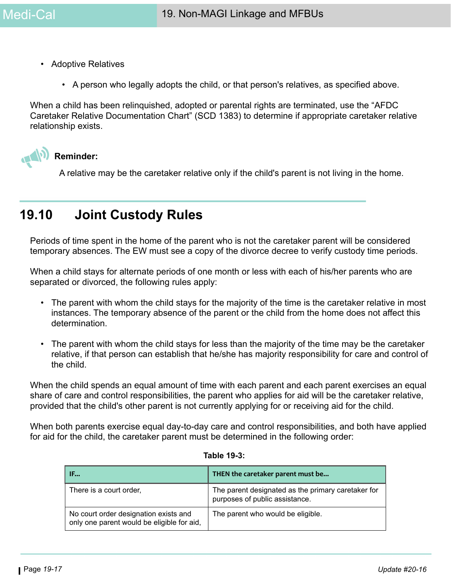- Adoptive Relatives
	- A person who legally adopts the child, or that person's relatives, as specified above.

When a child has been relinquished, adopted or parental rights are terminated, use the "AFDC Caretaker Relative Documentation Chart" (SCD 1383) to determine if appropriate caretaker relative relationship exists.



**Reminder:**

A relative may be the caretaker relative only if the child's parent is not living in the home.

# **19.10 Joint Custody Rules**

Periods of time spent in the home of the parent who is not the caretaker parent will be considered temporary absences. The EW must see a copy of the divorce decree to verify custody time periods.

When a child stays for alternate periods of one month or less with each of his/her parents who are separated or divorced, the following rules apply:

- The parent with whom the child stays for the majority of the time is the caretaker relative in most instances. The temporary absence of the parent or the child from the home does not affect this determination.
- The parent with whom the child stays for less than the majority of the time may be the caretaker relative, if that person can establish that he/she has majority responsibility for care and control of the child.

When the child spends an equal amount of time with each parent and each parent exercises an equal share of care and control responsibilities, the parent who applies for aid will be the caretaker relative, provided that the child's other parent is not currently applying for or receiving aid for the child.

When both parents exercise equal day-to-day care and control responsibilities, and both have applied for aid for the child, the caretaker parent must be determined in the following order:

| IF                                                                                  | THEN the caretaker parent must be                                                    |
|-------------------------------------------------------------------------------------|--------------------------------------------------------------------------------------|
| There is a court order,                                                             | The parent designated as the primary caretaker for<br>purposes of public assistance. |
| No court order designation exists and<br>only one parent would be eligible for aid, | The parent who would be eligible.                                                    |

#### **Table 19-3:**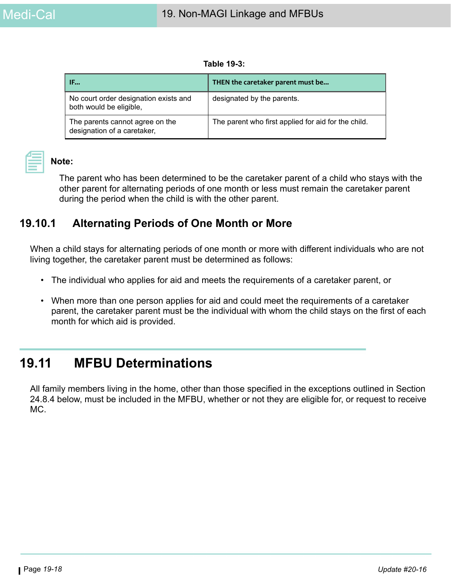**Table 19-3:** 

| IF                                                               | THEN the caretaker parent must be                   |
|------------------------------------------------------------------|-----------------------------------------------------|
| No court order designation exists and<br>both would be eligible, | designated by the parents.                          |
| The parents cannot agree on the<br>designation of a caretaker,   | The parent who first applied for aid for the child. |

## **Note:**

The parent who has been determined to be the caretaker parent of a child who stays with the other parent for alternating periods of one month or less must remain the caretaker parent during the period when the child is with the other parent.

# **19.10.1 Alternating Periods of One Month or More**

When a child stays for alternating periods of one month or more with different individuals who are not living together, the caretaker parent must be determined as follows:

- The individual who applies for aid and meets the requirements of a caretaker parent, or
- When more than one person applies for aid and could meet the requirements of a caretaker parent, the caretaker parent must be the individual with whom the child stays on the first of each month for which aid is provided.

# **19.11 MFBU Determinations**

All family members living in the home, other than those specified in the exceptions outlined in Section 24.8.4 below, must be included in the MFBU, whether or not they are eligible for, or request to receive MC.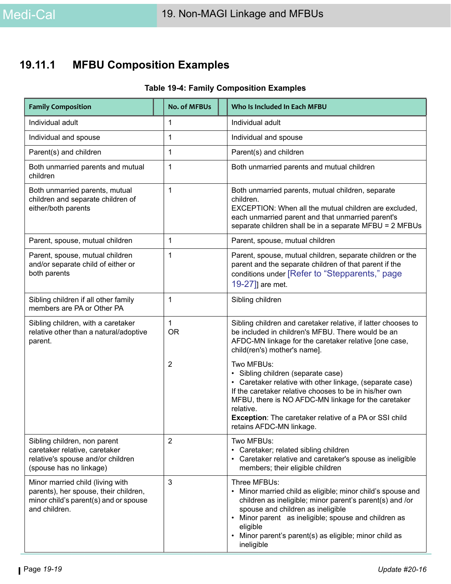# **19.11.1 MFBU Composition Examples**

# **Table 19-4: Family Composition Examples**

| <b>Family Composition</b>                                                                                                           | <b>No. of MFBUs</b>       | Who Is Included In Each MFBU                                                                                                                                                                                                                                                                                                            |
|-------------------------------------------------------------------------------------------------------------------------------------|---------------------------|-----------------------------------------------------------------------------------------------------------------------------------------------------------------------------------------------------------------------------------------------------------------------------------------------------------------------------------------|
| Individual adult                                                                                                                    | 1                         | Individual adult                                                                                                                                                                                                                                                                                                                        |
| Individual and spouse                                                                                                               | 1                         | Individual and spouse                                                                                                                                                                                                                                                                                                                   |
| Parent(s) and children                                                                                                              | 1                         | Parent(s) and children                                                                                                                                                                                                                                                                                                                  |
| Both unmarried parents and mutual<br>children                                                                                       | 1                         | Both unmarried parents and mutual children                                                                                                                                                                                                                                                                                              |
| Both unmarried parents, mutual<br>children and separate children of<br>either/both parents                                          | $\mathbf{1}$              | Both unmarried parents, mutual children, separate<br>children.<br>EXCEPTION: When all the mutual children are excluded,<br>each unmarried parent and that unmarried parent's<br>separate children shall be in a separate MFBU = 2 MFBUs                                                                                                 |
| Parent, spouse, mutual children                                                                                                     | 1                         | Parent, spouse, mutual children                                                                                                                                                                                                                                                                                                         |
| Parent, spouse, mutual children<br>and/or separate child of either or<br>both parents                                               | 1                         | Parent, spouse, mutual children, separate children or the<br>parent and the separate children of that parent if the<br>conditions under [Refer to "Stepparents," page<br>19-27]] are met.                                                                                                                                               |
| Sibling children if all other family<br>members are PA or Other PA                                                                  | 1                         | Sibling children                                                                                                                                                                                                                                                                                                                        |
| Sibling children, with a caretaker<br>relative other than a natural/adoptive<br>parent.                                             | $\mathbf{1}$<br><b>OR</b> | Sibling children and caretaker relative, if latter chooses to<br>be included in children's MFBU. There would be an<br>AFDC-MN linkage for the caretaker relative [one case,<br>child(ren's) mother's name].                                                                                                                             |
|                                                                                                                                     | $\overline{2}$            | Two MFBUs:<br>• Sibling children (separate case)<br>• Caretaker relative with other linkage, (separate case)<br>If the caretaker relative chooses to be in his/her own<br>MFBU, there is NO AFDC-MN linkage for the caretaker<br>relative.<br><b>Exception:</b> The caretaker relative of a PA or SSI child<br>retains AFDC-MN linkage. |
| Sibling children, non parent<br>caretaker relative, caretaker<br>relative's spouse and/or children<br>(spouse has no linkage)       | 2                         | Two MFBUs:<br>Caretaker; related sibling children<br>Caretaker relative and caretaker's spouse as ineligible<br>members; their eligible children                                                                                                                                                                                        |
| Minor married child (living with<br>parents), her spouse, their children,<br>minor child's parent(s) and or spouse<br>and children. | 3                         | Three MFBUs:<br>Minor married child as eligible; minor child's spouse and<br>children as ineligible; minor parent's parent(s) and /or<br>spouse and children as ineligible<br>Minor parent as ineligible; spouse and children as<br>eligible<br>Minor parent's parent(s) as eligible; minor child as<br>ineligible                      |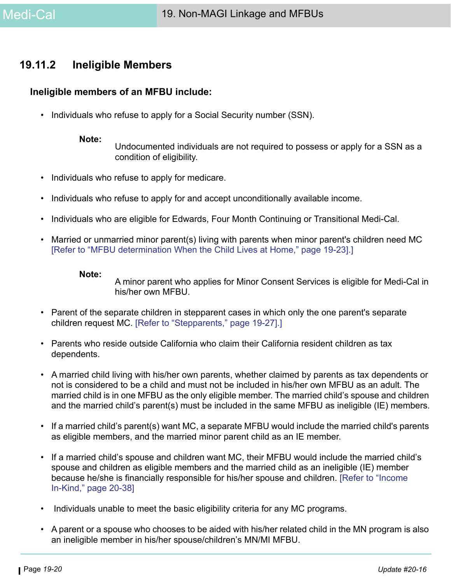# **19.11.2 Ineligible Members**

#### **Ineligible members of an MFBU include:**

• Individuals who refuse to apply for a Social Security number (SSN).

**Note:**

Undocumented individuals are not required to possess or apply for a SSN as a condition of eligibility.

- Individuals who refuse to apply for medicare.
- Individuals who refuse to apply for and accept unconditionally available income.
- Individuals who are eligible for Edwards, Four Month Continuing or Transitional Medi-Cal.
- Married or unmarried minor parent(s) living with parents when minor parent's children need MC [\[Refer to "MFBU determination When the Child Lives at Home," page 19-23\]](#page-22-0).]

#### **Note:**

A minor parent who applies for Minor Consent Services is eligible for Medi-Cal in his/her own MFBU.

- Parent of the separate children in stepparent cases in which only the one parent's separate children request MC. [\[Refer to "Stepparents," page 19-27\].](#page-26-0)]
- Parents who reside outside California who claim their California resident children as tax dependents.
- A married child living with his/her own parents, whether claimed by parents as tax dependents or not is considered to be a child and must not be included in his/her own MFBU as an adult. The married child is in one MFBU as the only eligible member. The married child's spouse and children and the married child's parent(s) must be included in the same MFBU as ineligible (IE) members.
- If a married child's parent(s) want MC, a separate MFBU would include the married child's parents as eligible members, and the married minor parent child as an IE member.
- If a married child's spouse and children want MC, their MFBU would include the married child's spouse and children as eligible members and the married child as an ineligible (IE) member because he/she is financially responsible for his/her spouse and children. [Refer to "Income In-Kind," page 20-38]
- Individuals unable to meet the basic eligibility criteria for any MC programs.
- A parent or a spouse who chooses to be aided with his/her related child in the MN program is also an ineligible member in his/her spouse/children's MN/MI MFBU.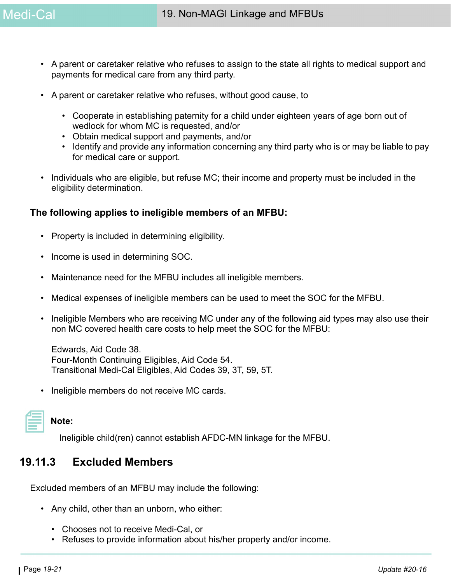- A parent or caretaker relative who refuses to assign to the state all rights to medical support and payments for medical care from any third party.
- A parent or caretaker relative who refuses, without good cause, to
	- Cooperate in establishing paternity for a child under eighteen years of age born out of wedlock for whom MC is requested, and/or
	- Obtain medical support and payments, and/or
	- Identify and provide any information concerning any third party who is or may be liable to pay for medical care or support.
- Individuals who are eligible, but refuse MC; their income and property must be included in the eligibility determination.

# **The following applies to ineligible members of an MFBU:**

- Property is included in determining eligibility.
- Income is used in determining SOC.
- Maintenance need for the MFBU includes all ineligible members.
- Medical expenses of ineligible members can be used to meet the SOC for the MFBU.
- Ineligible Members who are receiving MC under any of the following aid types may also use their non MC covered health care costs to help meet the SOC for the MFBU:

Edwards, Aid Code 38. Four-Month Continuing Eligibles, Aid Code 54. Transitional Medi-Cal Eligibles, Aid Codes 39, 3T, 59, 5T.

• Ineligible members do not receive MC cards.

| and the state of the state of the state of the state of the state of the state of the state of the state of th |  |  |
|----------------------------------------------------------------------------------------------------------------|--|--|
|                                                                                                                |  |  |
|                                                                                                                |  |  |

**Note:** 

Ineligible child(ren) cannot establish AFDC-MN linkage for the MFBU.

# **19.11.3 Excluded Members**

Excluded members of an MFBU may include the following:

- Any child, other than an unborn, who either:
	- Chooses not to receive Medi-Cal, or
	- Refuses to provide information about his/her property and/or income.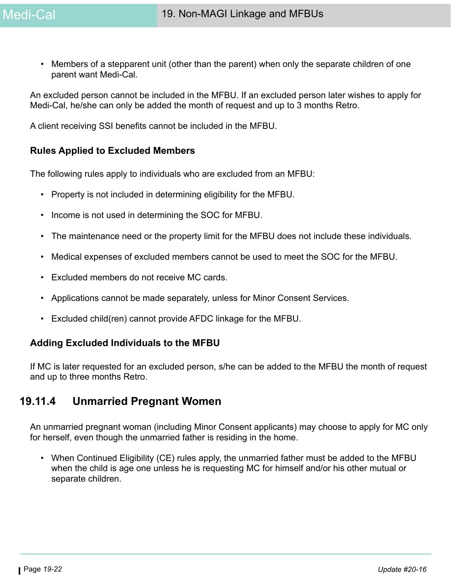• Members of a stepparent unit (other than the parent) when only the separate children of one parent want Medi-Cal.

An excluded person cannot be included in the MFBU. If an excluded person later wishes to apply for Medi-Cal, he/she can only be added the month of request and up to 3 months Retro.

A client receiving SSI benefits cannot be included in the MFBU.

### **Rules Applied to Excluded Members**

The following rules apply to individuals who are excluded from an MFBU:

- Property is not included in determining eligibility for the MFBU.
- Income is not used in determining the SOC for MFBU.
- The maintenance need or the property limit for the MFBU does not include these individuals.
- Medical expenses of excluded members cannot be used to meet the SOC for the MFBU.
- Excluded members do not receive MC cards.
- Applications cannot be made separately, unless for Minor Consent Services.
- Excluded child(ren) cannot provide AFDC linkage for the MFBU.

### **Adding Excluded Individuals to the MFBU**

If MC is later requested for an excluded person, s/he can be added to the MFBU the month of request and up to three months Retro.

# **19.11.4 Unmarried Pregnant Women**

An unmarried pregnant woman (including Minor Consent applicants) may choose to apply for MC only for herself, even though the unmarried father is residing in the home.

• When Continued Eligibility (CE) rules apply, the unmarried father must be added to the MFBU when the child is age one unless he is requesting MC for himself and/or his other mutual or separate children.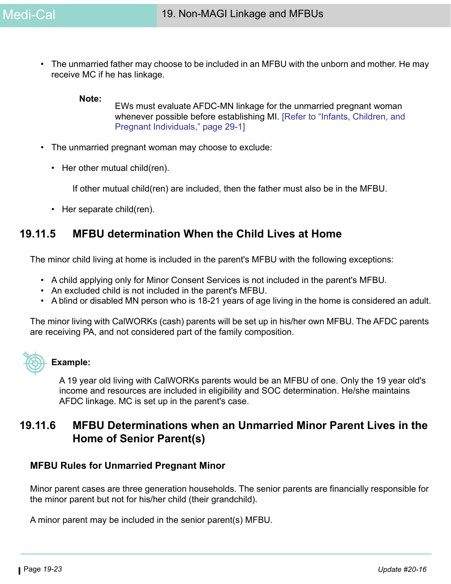• The unmarried father may choose to be included in an MFBU with the unborn and mother. He may receive MC if he has linkage.

#### **Note:**

EWs must evaluate AFDC-MN linkage for the unmarried pregnant woman whenever possible before establishing MI. [Refer to "Infants, Children, and Pregnant Individuals," page 29-1]

- The unmarried pregnant woman may choose to exclude:
	- Her other mutual child(ren).

If other mutual child(ren) are included, then the father must also be in the MFBU.

• Her separate child(ren).

# <span id="page-22-0"></span>**19.11.5 MFBU determination When the Child Lives at Home**

The minor child living at home is included in the parent's MFBU with the following exceptions:

- A child applying only for Minor Consent Services is not included in the parent's MFBU.
- An excluded child is not included in the parent's MFBU.
- A blind or disabled MN person who is 18-21 years of age living in the home is considered an adult.

The minor living with CalWORKs (cash) parents will be set up in his/her own MFBU. The AFDC parents are receiving PA, and not considered part of the family composition.



#### **Example:**

A 19 year old living with CalWORKs parents would be an MFBU of one. Only the 19 year old's income and resources are included in eligibility and SOC determination. He/she maintains AFDC linkage. MC is set up in the parent's case.

# **19.11.6 MFBU Determinations when an Unmarried Minor Parent Lives in the Home of Senior Parent(s)**

### **MFBU Rules for Unmarried Pregnant Minor**

Minor parent cases are three generation households. The senior parents are financially responsible for the minor parent but not for his/her child (their grandchild).

A minor parent may be included in the senior parent(s) MFBU.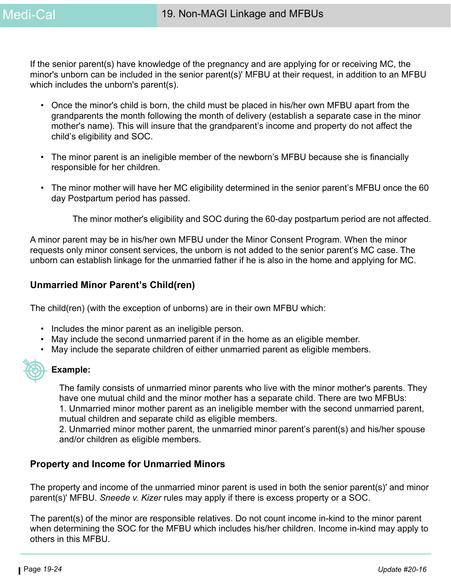If the senior parent(s) have knowledge of the pregnancy and are applying for or receiving MC, the minor's unborn can be included in the senior parent(s)' MFBU at their request, in addition to an MFBU which includes the unborn's parent(s).

- Once the minor's child is born, the child must be placed in his/her own MFBU apart from the grandparents the month following the month of delivery (establish a separate case in the minor mother's name). This will insure that the grandparent's income and property do not affect the child's eligibility and SOC.
- The minor parent is an ineligible member of the newborn's MFBU because she is financially responsible for her children.
- The minor mother will have her MC eligibility determined in the senior parent's MFBU once the 60 day Postpartum period has passed.

The minor mother's eligibility and SOC during the 60-day postpartum period are not affected.

A minor parent may be in his/her own MFBU under the Minor Consent Program. When the minor requests only minor consent services, the unborn is not added to the senior parent's MC case. The unborn can establish linkage for the unmarried father if he is also in the home and applying for MC.

## **Unmarried Minor Parent's Child(ren)**

The child(ren) (with the exception of unborns) are in their own MFBU which:

- Includes the minor parent as an ineligible person.
- May include the second unmarried parent if in the home as an eligible member.
- May include the separate children of either unmarried parent as eligible members.

#### **Example:**

The family consists of unmarried minor parents who live with the minor mother's parents. They have one mutual child and the minor mother has a separate child. There are two MFBUs:

1. Unmarried minor mother parent as an ineligible member with the second unmarried parent, mutual children and separate child as eligible members.

2. Unmarried minor mother parent, the unmarried minor parent's parent(s) and his/her spouse and/or children as eligible members.

### **Property and Income for Unmarried Minors**

The property and income of the unmarried minor parent is used in both the senior parent(s)' and minor parent(s)' MFBU. *Sneede v. Kizer* rules may apply if there is excess property or a SOC.

The parent(s) of the minor are responsible relatives. Do not count income in-kind to the minor parent when determining the SOC for the MFBU which includes his/her children. Income in-kind may apply to others in this MFBU.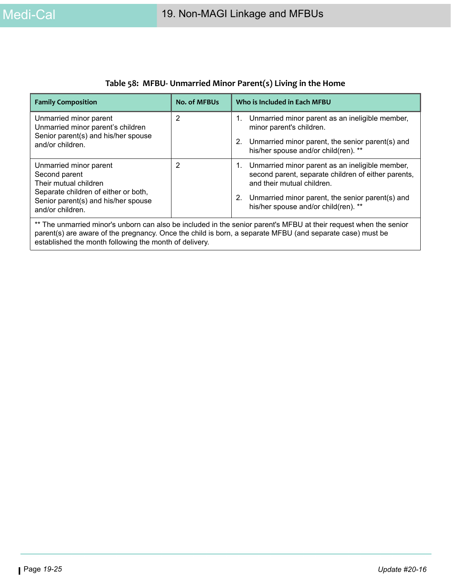| <b>Family Composition</b>                                                                                                                                                                                                                                                                | <b>No. of MFBUs</b> | Who is Included in Each MFBU                                                                                                                                                                                                              |  |  |
|------------------------------------------------------------------------------------------------------------------------------------------------------------------------------------------------------------------------------------------------------------------------------------------|---------------------|-------------------------------------------------------------------------------------------------------------------------------------------------------------------------------------------------------------------------------------------|--|--|
| Unmarried minor parent<br>Unmarried minor parent's children<br>Senior parent(s) and his/her spouse<br>and/or children.                                                                                                                                                                   | 2                   | 1. Unmarried minor parent as an ineligible member,<br>minor parent's children.<br>Unmarried minor parent, the senior parent(s) and<br>2.<br>his/her spouse and/or child(ren). **                                                          |  |  |
| Unmarried minor parent<br>Second parent<br>Their mutual children<br>Separate children of either or both,<br>Senior parent(s) and his/her spouse<br>and/or children.                                                                                                                      | 2                   | 1. Unmarried minor parent as an ineligible member,<br>second parent, separate children of either parents,<br>and their mutual children.<br>Unmarried minor parent, the senior parent(s) and<br>2.<br>his/her spouse and/or child(ren). ** |  |  |
| ** The unmarried minor's unborn can also be included in the senior parent's MFBU at their request when the senior<br>parent(s) are aware of the pregnancy. Once the child is born, a separate MFBU (and separate case) must be<br>established the month following the month of delivery. |                     |                                                                                                                                                                                                                                           |  |  |

## **Table 58: MFBU- Unmarried Minor Parent(s) Living in the Home**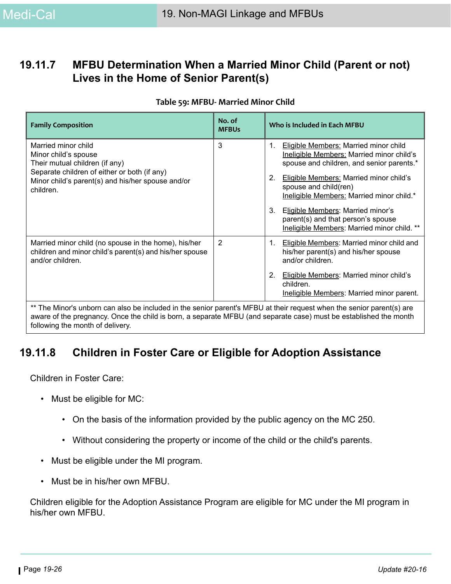# **19.11.7 MFBU Determination When a Married Minor Child (Parent or not) Lives in the Home of Senior Parent(s)**

#### **Table 59: MFBU- Married Minor Child**

| <b>Family Composition</b>                                                                                                                                                                       | No. of<br><b>MFBUs</b> | Who is Included in Each MFBU                                                                                                                                                                                                                                        |
|-------------------------------------------------------------------------------------------------------------------------------------------------------------------------------------------------|------------------------|---------------------------------------------------------------------------------------------------------------------------------------------------------------------------------------------------------------------------------------------------------------------|
| Married minor child<br>Minor child's spouse<br>Their mutual children (if any)<br>Separate children of either or both (if any)<br>Minor child's parent(s) and his/her spouse and/or<br>children. | 3                      | Eligible Members: Married minor child<br>1.<br>Ineligible Members: Married minor child's<br>spouse and children, and senior parents.*<br><b>Eligible Members: Married minor child's</b><br>2.<br>spouse and child(ren)<br>Ineligible Members: Married minor child.* |
|                                                                                                                                                                                                 |                        | 3.<br>Eligible Members: Married minor's<br>parent(s) and that person's spouse<br>Ineligible Members: Married minor child. **                                                                                                                                        |
| Married minor child (no spouse in the home), his/her<br>children and minor child's parent(s) and his/her spouse<br>and/or children.                                                             | $\overline{2}$         | <b>Eligible Members: Married minor child and</b><br>1.<br>his/her parent(s) and his/her spouse<br>and/or children.                                                                                                                                                  |
|                                                                                                                                                                                                 |                        | 2.<br><b>Eligible Members: Married minor child's</b><br>children.<br>Ineligible Members: Married minor parent.                                                                                                                                                      |
| ** The Minor's unborn can also be included in the senior parent's MFBU at their request when the senior parent(s) are                                                                           |                        |                                                                                                                                                                                                                                                                     |

aware of the pregnancy. Once the child is born, a separate MFBU (and separate case) must be established the month following the month of delivery.

# **19.11.8 Children in Foster Care or Eligible for Adoption Assistance**

Children in Foster Care:

- Must be eligible for MC:
	- On the basis of the information provided by the public agency on the MC 250.
	- Without considering the property or income of the child or the child's parents.
- Must be eligible under the MI program.
- Must be in his/her own MFBU.

Children eligible for the Adoption Assistance Program are eligible for MC under the MI program in his/her own MFBU.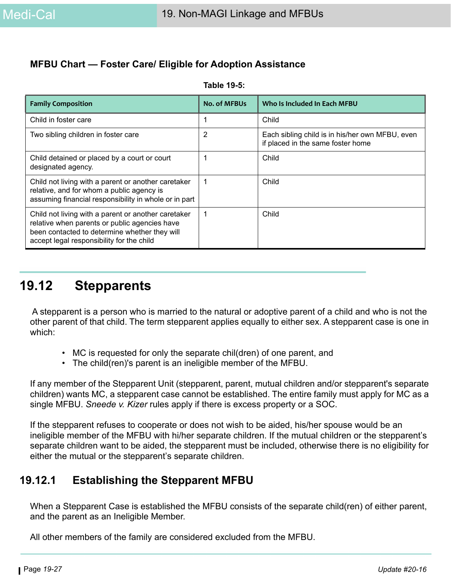# **MFBU Chart — Foster Care/ Eligible for Adoption Assistance**

| <b>Family Composition</b>                                                                                                                                                                          | <b>No. of MFBUs</b> | Who Is Included In Each MFBU                                                         |
|----------------------------------------------------------------------------------------------------------------------------------------------------------------------------------------------------|---------------------|--------------------------------------------------------------------------------------|
| Child in foster care                                                                                                                                                                               |                     | Child                                                                                |
| Two sibling children in foster care                                                                                                                                                                | $\overline{2}$      | Each sibling child is in his/her own MFBU, even<br>if placed in the same foster home |
| Child detained or placed by a court or court<br>designated agency.                                                                                                                                 |                     | Child                                                                                |
| Child not living with a parent or another caretaker<br>relative, and for whom a public agency is<br>assuming financial responsibility in whole or in part                                          |                     | Child                                                                                |
| Child not living with a parent or another caretaker<br>relative when parents or public agencies have<br>been contacted to determine whether they will<br>accept legal responsibility for the child | 1                   | Child                                                                                |

**Table 19-5:** 

# <span id="page-26-0"></span>**19.12 Stepparents**

 A stepparent is a person who is married to the natural or adoptive parent of a child and who is not the other parent of that child. The term stepparent applies equally to either sex. A stepparent case is one in which:

- MC is requested for only the separate chil(dren) of one parent, and
- The child(ren)'s parent is an ineligible member of the MFBU.

If any member of the Stepparent Unit (stepparent, parent, mutual children and/or stepparent's separate children) wants MC, a stepparent case cannot be established. The entire family must apply for MC as a single MFBU. *Sneede v. Kizer* rules apply if there is excess property or a SOC.

If the stepparent refuses to cooperate or does not wish to be aided, his/her spouse would be an ineligible member of the MFBU with hi/her separate children. If the mutual children or the stepparent's separate children want to be aided, the stepparent must be included, otherwise there is no eligibility for either the mutual or the stepparent's separate children.

# **19.12.1 Establishing the Stepparent MFBU**

When a Stepparent Case is established the MFBU consists of the separate child(ren) of either parent, and the parent as an Ineligible Member.

All other members of the family are considered excluded from the MFBU.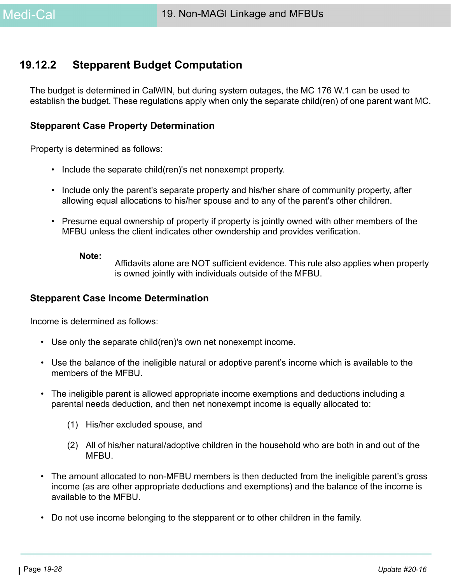# **19.12.2 Stepparent Budget Computation**

The budget is determined in CalWIN, but during system outages, the MC 176 W.1 can be used to establish the budget. These regulations apply when only the separate child(ren) of one parent want MC.

#### **Stepparent Case Property Determination**

Property is determined as follows:

- Include the separate child(ren)'s net nonexempt property.
- Include only the parent's separate property and his/her share of community property, after allowing equal allocations to his/her spouse and to any of the parent's other children.
- Presume equal ownership of property if property is jointly owned with other members of the MFBU unless the client indicates other owndership and provides verification.

#### **Note:**

Affidavits alone are NOT sufficient evidence. This rule also applies when property is owned jointly with individuals outside of the MFBU.

#### **Stepparent Case Income Determination**

Income is determined as follows:

- Use only the separate child(ren)'s own net nonexempt income.
- Use the balance of the ineligible natural or adoptive parent's income which is available to the members of the MFBU.
- The ineligible parent is allowed appropriate income exemptions and deductions including a parental needs deduction, and then net nonexempt income is equally allocated to:
	- (1) His/her excluded spouse, and
	- (2) All of his/her natural/adoptive children in the household who are both in and out of the **MFBU.**
- The amount allocated to non-MFBU members is then deducted from the ineligible parent's gross income (as are other appropriate deductions and exemptions) and the balance of the income is available to the MFBU.
- Do not use income belonging to the stepparent or to other children in the family.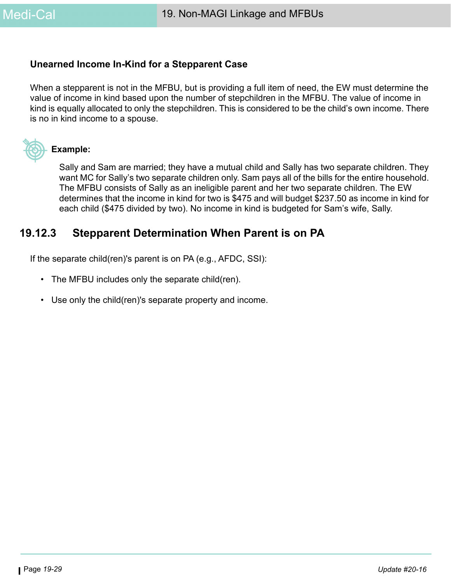# **Unearned Income In-Kind for a Stepparent Case**

When a stepparent is not in the MFBU, but is providing a full item of need, the EW must determine the value of income in kind based upon the number of stepchildren in the MFBU. The value of income in kind is equally allocated to only the stepchildren. This is considered to be the child's own income. There is no in kind income to a spouse.



### **Example:**

Sally and Sam are married; they have a mutual child and Sally has two separate children. They want MC for Sally's two separate children only. Sam pays all of the bills for the entire household. The MFBU consists of Sally as an ineligible parent and her two separate children. The EW determines that the income in kind for two is \$475 and will budget \$237.50 as income in kind for each child (\$475 divided by two). No income in kind is budgeted for Sam's wife, Sally.

# **19.12.3 Stepparent Determination When Parent is on PA**

If the separate child(ren)'s parent is on PA (e.g., AFDC, SSI):

- The MFBU includes only the separate child(ren).
- Use only the child(ren)'s separate property and income.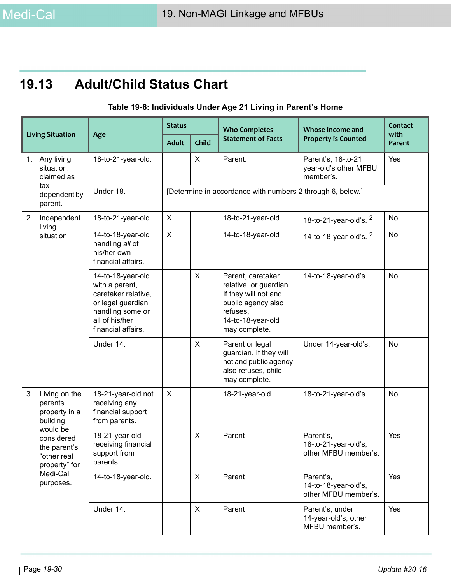# **19.13 Adult/Child Status Chart**

## **Table 19-6: Individuals Under Age 21 Living in Parent's Home**

| <b>Living Situation</b>     |                                                                                                                                                          | Age                                                                                                                                         | <b>Status</b>  |                                                            | <b>Who Completes</b>                                                                                                                        | <b>Whose Income and</b>                                   | Contact<br>with |  |  |
|-----------------------------|----------------------------------------------------------------------------------------------------------------------------------------------------------|---------------------------------------------------------------------------------------------------------------------------------------------|----------------|------------------------------------------------------------|---------------------------------------------------------------------------------------------------------------------------------------------|-----------------------------------------------------------|-----------------|--|--|
|                             |                                                                                                                                                          |                                                                                                                                             | <b>Adult</b>   | Child                                                      | <b>Statement of Facts</b>                                                                                                                   | <b>Property is Counted</b>                                | Parent          |  |  |
| 1.                          | Any living<br>situation,<br>claimed as                                                                                                                   | 18-to-21-year-old.                                                                                                                          |                | X                                                          | Parent.                                                                                                                                     | Parent's, 18-to-21<br>year-old's other MFBU<br>member's.  | Yes             |  |  |
|                             | tax<br>dependent by<br>parent.                                                                                                                           | Under 18.                                                                                                                                   |                | [Determine in accordance with numbers 2 through 6, below.] |                                                                                                                                             |                                                           |                 |  |  |
| 2.<br>Independent<br>living | 18-to-21-year-old.                                                                                                                                       | X                                                                                                                                           |                | 18-to-21-year-old.                                         | 18-to-21-year-old's. $2$                                                                                                                    | No                                                        |                 |  |  |
|                             | situation                                                                                                                                                | 14-to-18-year-old<br>handling all of<br>his/her own<br>financial affairs.                                                                   | $\pmb{\times}$ |                                                            | 14-to-18-year-old                                                                                                                           | 14-to-18-year-old's. $2$                                  | No              |  |  |
|                             |                                                                                                                                                          | 14-to-18-year-old<br>with a parent,<br>caretaker relative,<br>or legal guardian<br>handling some or<br>all of his/her<br>financial affairs. |                | X                                                          | Parent, caretaker<br>relative, or guardian.<br>If they will not and<br>public agency also<br>refuses,<br>14-to-18-year-old<br>may complete. | 14-to-18-year-old's.                                      | No              |  |  |
|                             |                                                                                                                                                          | Under 14.                                                                                                                                   |                | X                                                          | Parent or legal<br>guardian. If they will<br>not and public agency<br>also refuses, child<br>may complete.                                  | Under 14-year-old's.                                      | <b>No</b>       |  |  |
| 3.                          | Living on the<br>parents<br>property in a<br>building<br>would be<br>considered<br>the parent's<br>"other real<br>property" for<br>Medi-Cal<br>purposes. | 18-21-year-old not<br>receiving any<br>financial support<br>from parents.                                                                   | X              |                                                            | 18-21-year-old.                                                                                                                             | 18-to-21-year-old's.                                      | No              |  |  |
|                             |                                                                                                                                                          | 18-21-year-old<br>receiving financial<br>support from<br>parents.                                                                           |                | X                                                          | Parent                                                                                                                                      | Parent's,<br>18-to-21-year-old's,<br>other MFBU member's. | Yes             |  |  |
|                             |                                                                                                                                                          | 14-to-18-year-old.                                                                                                                          |                | X                                                          | Parent                                                                                                                                      | Parent's,<br>14-to-18-year-old's,<br>other MFBU member's. | Yes             |  |  |
|                             | Under 14.                                                                                                                                                |                                                                                                                                             | X              | Parent                                                     | Parent's, under<br>14-year-old's, other<br>MFBU member's.                                                                                   | Yes                                                       |                 |  |  |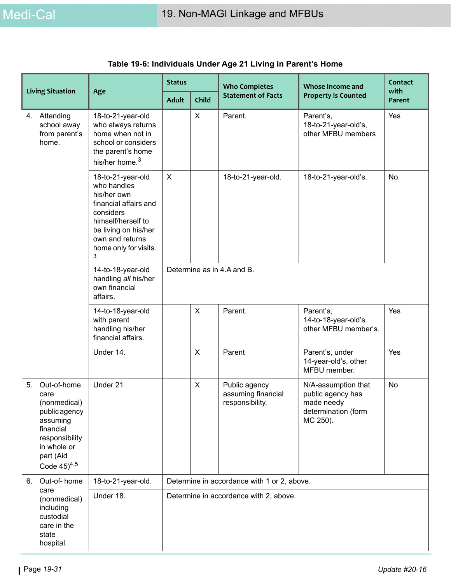| <b>Living Situation</b> |                                                                                                                                                  | Age                                                                                                                                                                                  | <b>Status</b>                               |              | <b>Who Completes</b>                                   | <b>Whose Income and</b>                                                                   | Contact<br>with |
|-------------------------|--------------------------------------------------------------------------------------------------------------------------------------------------|--------------------------------------------------------------------------------------------------------------------------------------------------------------------------------------|---------------------------------------------|--------------|--------------------------------------------------------|-------------------------------------------------------------------------------------------|-----------------|
|                         |                                                                                                                                                  |                                                                                                                                                                                      | <b>Adult</b>                                | <b>Child</b> | <b>Statement of Facts</b>                              | <b>Property is Counted</b>                                                                | Parent          |
|                         | 4. Attending<br>school away<br>from parent's<br>home.                                                                                            | 18-to-21-year-old<br>who always returns<br>home when not in<br>school or considers<br>the parent's home<br>his/her home. <sup>3</sup>                                                |                                             | X            | Parent.                                                | Parent's,<br>18-to-21-year-old's,<br>other MFBU members                                   | Yes             |
|                         |                                                                                                                                                  | 18-to-21-year-old<br>who handles<br>his/her own<br>financial affairs and<br>considers<br>himself/herself to<br>be living on his/her<br>own and returns<br>home only for visits.<br>3 | X                                           |              | 18-to-21-year-old.                                     | 18-to-21-year-old's.                                                                      | No.             |
|                         | 14-to-18-year-old<br>handling all his/her<br>own financial<br>affairs.                                                                           | Determine as in 4.A and B.                                                                                                                                                           |                                             |              |                                                        |                                                                                           |                 |
|                         |                                                                                                                                                  | 14-to-18-year-old<br>with parent<br>handling his/her<br>financial affairs.                                                                                                           |                                             | X            | Parent.                                                | Parent's,<br>14-to-18-year-old's.<br>other MFBU member's.                                 | Yes             |
|                         |                                                                                                                                                  | Under 14.                                                                                                                                                                            |                                             | X            | Parent                                                 | Parent's, under<br>14-year-old's, other<br>MFBU member.                                   | Yes             |
| 5.                      | Out-of-home<br>care<br>(nonmedical)<br>public agency<br>assuming<br>financial<br>responsibility<br>in whole or<br>part (Aid<br>Code $(45)^{4,5}$ | Under 21                                                                                                                                                                             |                                             | X            | Public agency<br>assuming financial<br>responsibility. | N/A-assumption that<br>public agency has<br>made needy<br>determination (form<br>MC 250). | No              |
| 6.                      | Out-of-home                                                                                                                                      | 18-to-21-year-old.                                                                                                                                                                   | Determine in accordance with 1 or 2, above. |              |                                                        |                                                                                           |                 |
|                         | care<br>(nonmedical)<br>including<br>custodial<br>care in the<br>state<br>hospital.                                                              | Under 18.                                                                                                                                                                            |                                             |              | Determine in accordance with 2, above.                 |                                                                                           |                 |

# **Table 19-6: Individuals Under Age 21 Living in Parent's Home**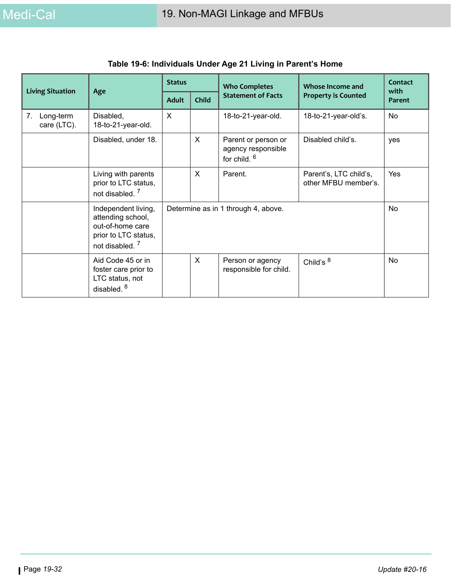| <b>Living Situation</b>        |                                                                                                                    | <b>Status</b> |              | <b>Who Completes</b>                                      | Whose Income and<br><b>Property is Counted</b> | Contact<br>with<br><b>Parent</b> |
|--------------------------------|--------------------------------------------------------------------------------------------------------------------|---------------|--------------|-----------------------------------------------------------|------------------------------------------------|----------------------------------|
| Age                            |                                                                                                                    | <b>Adult</b>  | Child        | <b>Statement of Facts</b>                                 |                                                |                                  |
| Long-term<br>7.<br>care (LTC). | Disabled,<br>18-to-21-year-old.                                                                                    | $\times$      |              | 18-to-21-year-old.                                        | 18-to-21-year-old's.                           | No                               |
|                                | Disabled, under 18.                                                                                                |               | $\sf X$      | Parent or person or<br>agency responsible<br>for child. 6 | Disabled child's.                              | yes                              |
|                                | Living with parents<br>prior to LTC status,<br>not disabled. <sup>7</sup>                                          |               | $\mathsf{X}$ | Parent.                                                   | Parent's, LTC child's,<br>other MFBU member's. | Yes                              |
|                                | Independent living,<br>attending school,<br>out-of-home care<br>prior to LTC status,<br>not disabled. <sup>7</sup> |               |              | Determine as in 1 through 4, above.                       |                                                | No                               |
|                                | Aid Code 45 or in<br>foster care prior to<br>LTC status, not<br>disabled. $8$                                      |               | $\times$     | Person or agency<br>responsible for child.                | Child's $8$                                    | No                               |

# **Table 19-6: Individuals Under Age 21 Living in Parent's Home**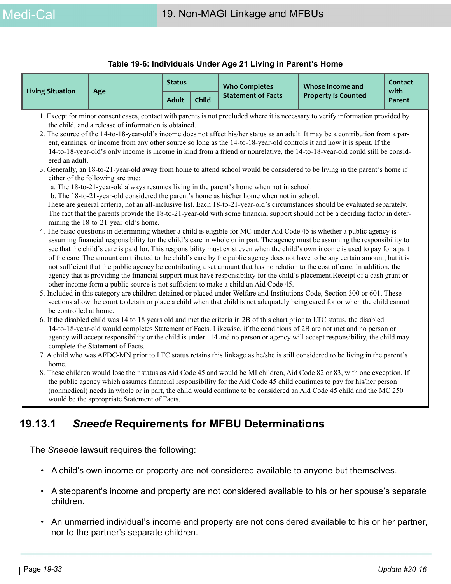#### **Table 19-6: Individuals Under Age 21 Living in Parent's Home**

|                                                                                                                                                                                                                            |                                                                                                                                                                       | <b>Status</b> |       | <b>Who Completes</b>                                                                                                                                                                                                                                                                                                                                                                                  | Whose Income and                                                                                                                                                                                                                                                                                                                                                                                                                                                                                                                                                                                                                                                                                                                                                                                                                                                                                                                                                                                                                                                                                                                                                                                                                                                                                                                                                                                                                                                                                                                                                                                                                                                                                                                                                                                                                                                                                                                                                                                                                                                                                                                                                                                                                                                                                                                                                                                                                                                                                                                                                                                                                                               | Contact        |
|----------------------------------------------------------------------------------------------------------------------------------------------------------------------------------------------------------------------------|-----------------------------------------------------------------------------------------------------------------------------------------------------------------------|---------------|-------|-------------------------------------------------------------------------------------------------------------------------------------------------------------------------------------------------------------------------------------------------------------------------------------------------------------------------------------------------------------------------------------------------------|----------------------------------------------------------------------------------------------------------------------------------------------------------------------------------------------------------------------------------------------------------------------------------------------------------------------------------------------------------------------------------------------------------------------------------------------------------------------------------------------------------------------------------------------------------------------------------------------------------------------------------------------------------------------------------------------------------------------------------------------------------------------------------------------------------------------------------------------------------------------------------------------------------------------------------------------------------------------------------------------------------------------------------------------------------------------------------------------------------------------------------------------------------------------------------------------------------------------------------------------------------------------------------------------------------------------------------------------------------------------------------------------------------------------------------------------------------------------------------------------------------------------------------------------------------------------------------------------------------------------------------------------------------------------------------------------------------------------------------------------------------------------------------------------------------------------------------------------------------------------------------------------------------------------------------------------------------------------------------------------------------------------------------------------------------------------------------------------------------------------------------------------------------------------------------------------------------------------------------------------------------------------------------------------------------------------------------------------------------------------------------------------------------------------------------------------------------------------------------------------------------------------------------------------------------------------------------------------------------------------------------------------------------------|----------------|
| <b>Living Situation</b>                                                                                                                                                                                                    | Age                                                                                                                                                                   | <b>Adult</b>  | Child | <b>Statement of Facts</b>                                                                                                                                                                                                                                                                                                                                                                             | <b>Property is Counted</b>                                                                                                                                                                                                                                                                                                                                                                                                                                                                                                                                                                                                                                                                                                                                                                                                                                                                                                                                                                                                                                                                                                                                                                                                                                                                                                                                                                                                                                                                                                                                                                                                                                                                                                                                                                                                                                                                                                                                                                                                                                                                                                                                                                                                                                                                                                                                                                                                                                                                                                                                                                                                                                     | with<br>Parent |
| ered an adult.<br>be controlled at home.<br>home.<br>(nonmedical) needs in whole or in part, the child would continue to be considered an Aid Code 45 child and the MC 250<br>would be the appropriate Statement of Facts. | the child, and a release of information is obtained.<br>either of the following are true:<br>mining the 18-to-21-year-old's home.<br>complete the Statement of Facts. |               |       | a. The 18-to-21-year-old always resumes living in the parent's home when not in school.<br>b. The 18-to-21-year-old considered the parent's home as his/her home when not in school.<br>other income form a public source is not sufficient to make a child an Aid Code 45.<br>the public agency which assumes financial responsibility for the Aid Code 45 child continues to pay for his/her person | 1. Except for minor consent cases, contact with parents is not precluded where it is necessary to verify information provided by<br>2. The source of the 14-to-18-year-old's income does not affect his/her status as an adult. It may be a contribution from a par-<br>ent, earnings, or income from any other source so long as the 14-to-18-year-old controls it and how it is spent. If the<br>14-to-18-year-old's only income is income in kind from a friend or nonrelative, the 14-to-18-year-old could still be consid-<br>3. Generally, an 18-to-21-year-old away from home to attend school would be considered to be living in the parent's home if<br>These are general criteria, not an all-inclusive list. Each 18-to-21-year-old's circumstances should be evaluated separately.<br>The fact that the parents provide the 18-to-21-year-old with some financial support should not be a deciding factor in deter-<br>4. The basic questions in determining whether a child is eligible for MC under Aid Code 45 is whether a public agency is<br>assuming financial responsibility for the child's care in whole or in part. The agency must be assuming the responsibility to<br>see that the child's care is paid for. This responsibility must exist even when the child's own income is used to pay for a part<br>of the care. The amount contributed to the child's care by the public agency does not have to be any certain amount, but it is<br>not sufficient that the public agency be contributing a set amount that has no relation to the cost of care. In addition, the<br>agency that is providing the financial support must have responsibility for the child's placement. Receipt of a cash grant or<br>5. Included in this category are children detained or placed under Welfare and Institutions Code, Section 300 or 601. These<br>sections allow the court to detain or place a child when that child is not adequately being cared for or when the child cannot<br>6. If the disabled child was 14 to 18 years old and met the criteria in 2B of this chart prior to LTC status, the disabled<br>14-to-18-year-old would completes Statement of Facts. Likewise, if the conditions of 2B are not met and no person or<br>agency will accept responsibility or the child is under 14 and no person or agency will accept responsibility, the child may<br>7. A child who was AFDC-MN prior to LTC status retains this linkage as he/she is still considered to be living in the parent's<br>8. These children would lose their status as Aid Code 45 and would be MI children, Aid Code 82 or 83, with one exception. If |                |

The *Sneede* lawsuit requires the following:

- A child's own income or property are not considered available to anyone but themselves.
- A stepparent's income and property are not considered available to his or her spouse's separate children.
- An unmarried individual's income and property are not considered available to his or her partner, nor to the partner's separate children.